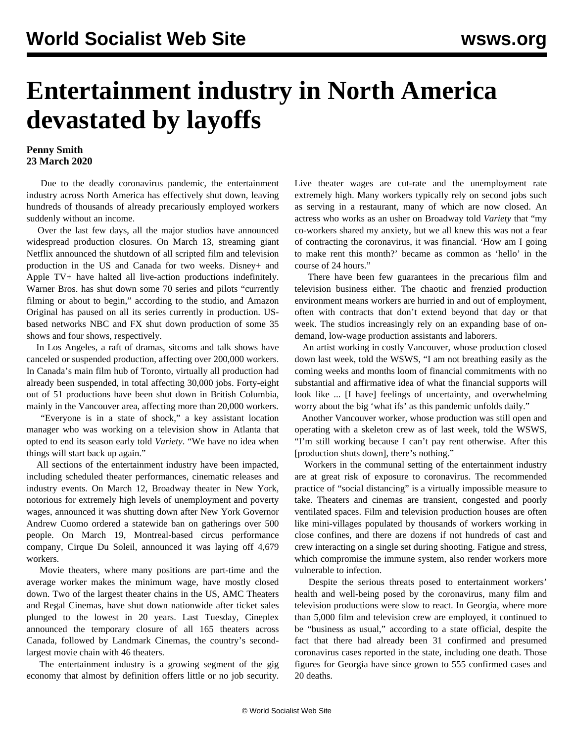## **Entertainment industry in North America devastated by layoffs**

## **Penny Smith 23 March 2020**

 Due to the deadly coronavirus pandemic, the entertainment industry across North America has effectively shut down, leaving hundreds of thousands of already precariously employed workers suddenly without an income.

 Over the last few days, all the major studios have announced widespread production closures. On March 13, streaming giant Netflix announced the shutdown of all scripted film and television production in the US and Canada for two weeks. Disney+ and Apple TV+ have halted all live-action productions indefinitely. Warner Bros. has shut down some 70 series and pilots "currently filming or about to begin," according to the studio, and Amazon Original has paused on all its series currently in production. USbased networks NBC and FX shut down production of some 35 shows and four shows, respectively.

 In Los Angeles, a raft of dramas, sitcoms and talk shows have canceled or suspended production, affecting over 200,000 workers. In Canada's main film hub of Toronto, virtually all production had already been suspended, in total affecting 30,000 jobs. Forty-eight out of 51 productions have been shut down in British Columbia, mainly in the Vancouver area, affecting more than 20,000 workers.

 "Everyone is in a state of shock," a key assistant location manager who was working on a television show in Atlanta that opted to end its season early told *Variety*. "We have no idea when things will start back up again."

 All sections of the entertainment industry have been impacted, including scheduled theater performances, cinematic releases and industry events. On March 12, Broadway theater in New York, notorious for extremely high levels of unemployment and poverty wages, announced it was shutting down after New York Governor Andrew Cuomo ordered a statewide ban on gatherings over 500 people. On March 19, Montreal-based circus performance company, Cirque Du Soleil, announced it was laying off 4,679 workers.

 Movie theaters, where many positions are part-time and the average worker makes the minimum wage, have mostly closed down. Two of the largest theater chains in the US, AMC Theaters and Regal Cinemas, have shut down nationwide after ticket sales plunged to the lowest in 20 years. Last Tuesday, Cineplex announced the temporary closure of all 165 theaters across Canada, followed by Landmark Cinemas, the country's secondlargest movie chain with 46 theaters.

 The entertainment industry is a growing segment of the gig economy that almost by definition offers little or no job security.

Live theater wages are cut-rate and the unemployment rate extremely high. Many workers typically rely on second jobs such as serving in a restaurant, many of which are now closed. An actress who works as an usher on Broadway told *Variety* that "my co-workers shared my anxiety, but we all knew this was not a fear of contracting the coronavirus, it was financial. 'How am I going to make rent this month?' became as common as 'hello' in the course of 24 hours."

 There have been few guarantees in the precarious film and television business either. The chaotic and frenzied production environment means workers are hurried in and out of employment, often with contracts that don't extend beyond that day or that week. The studios increasingly rely on an expanding base of ondemand, low-wage production assistants and laborers.

 An artist working in costly Vancouver, whose production closed down last week, told the WSWS, "I am not breathing easily as the coming weeks and months loom of financial commitments with no substantial and affirmative idea of what the financial supports will look like ... [I have] feelings of uncertainty, and overwhelming worry about the big 'what ifs' as this pandemic unfolds daily."

 Another Vancouver worker, whose production was still open and operating with a skeleton crew as of last week, told the WSWS, "I'm still working because I can't pay rent otherwise. After this [production shuts down], there's nothing."

 Workers in the communal setting of the entertainment industry are at great risk of exposure to coronavirus. The recommended practice of "social distancing" is a virtually impossible measure to take. Theaters and cinemas are transient, congested and poorly ventilated spaces. Film and television production houses are often like mini-villages populated by thousands of workers working in close confines, and there are dozens if not hundreds of cast and crew interacting on a single set during shooting. Fatigue and stress, which compromise the immune system, also render workers more vulnerable to infection.

 Despite the serious threats posed to entertainment workers' health and well-being posed by the coronavirus, many film and television productions were slow to react. In Georgia, where more than 5,000 film and television crew are employed, it continued to be "business as usual," according to a state official, despite the fact that there had already been 31 confirmed and presumed coronavirus cases reported in the state, including one death. Those figures for Georgia have since grown to 555 confirmed cases and 20 deaths.